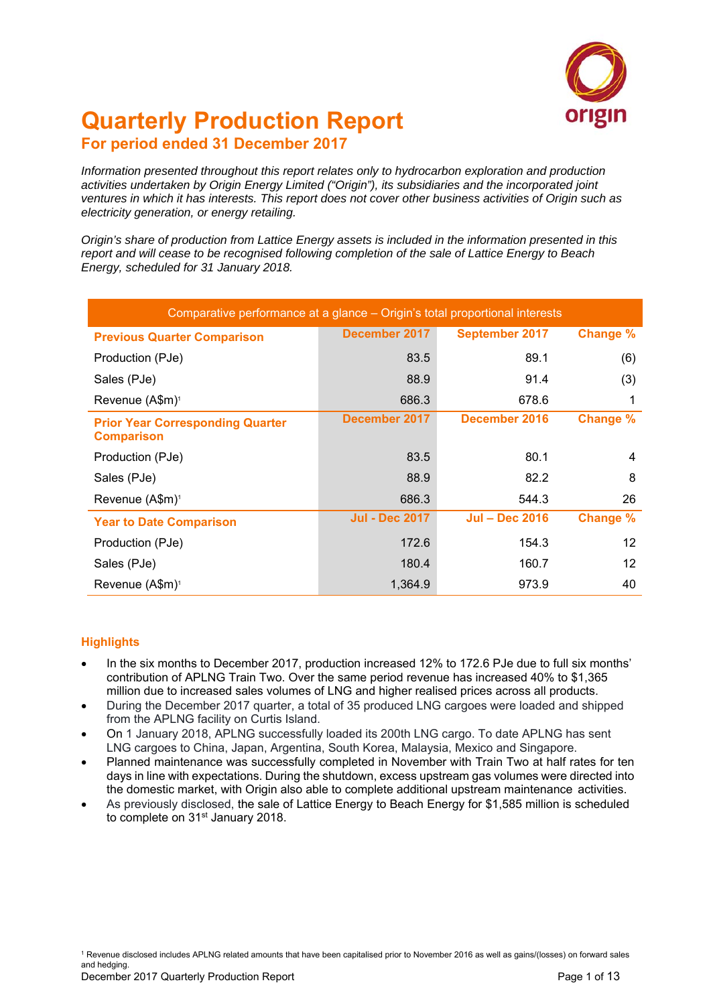

# **Quarterly Production Report For period ended 31 December 2017**

*Information presented throughout this report relates only to hydrocarbon exploration and production activities undertaken by Origin Energy Limited ("Origin"), its subsidiaries and the incorporated joint ventures in which it has interests. This report does not cover other business activities of Origin such as electricity generation, or energy retailing.* 

*Origin's share of production from Lattice Energy assets is included in the information presented in this report and will cease to be recognised following completion of the sale of Lattice Energy to Beach Energy, scheduled for 31 January 2018.* 

| Comparative performance at a glance – Origin's total proportional interests |                       |                       |                 |  |  |  |  |  |  |  |  |
|-----------------------------------------------------------------------------|-----------------------|-----------------------|-----------------|--|--|--|--|--|--|--|--|
| <b>Previous Quarter Comparison</b>                                          | December 2017         | <b>September 2017</b> | Change %        |  |  |  |  |  |  |  |  |
| Production (PJe)                                                            | 83.5                  | 89.1                  | (6)             |  |  |  |  |  |  |  |  |
| Sales (PJe)                                                                 | 88.9                  | 91.4                  | (3)             |  |  |  |  |  |  |  |  |
| Revenue (A\$m) <sup>1</sup>                                                 | 686.3                 | 678.6                 |                 |  |  |  |  |  |  |  |  |
| <b>Prior Year Corresponding Quarter</b><br><b>Comparison</b>                | December 2017         | December 2016         | <b>Change %</b> |  |  |  |  |  |  |  |  |
| Production (PJe)                                                            | 83.5                  | 80.1                  | 4               |  |  |  |  |  |  |  |  |
| Sales (PJe)                                                                 | 88.9                  | 82.2                  | 8               |  |  |  |  |  |  |  |  |
| Revenue (A\$m) <sup>1</sup>                                                 | 686.3                 | 544.3                 | 26              |  |  |  |  |  |  |  |  |
| <b>Year to Date Comparison</b>                                              | <b>Jul - Dec 2017</b> | <b>Jul - Dec 2016</b> | <b>Change %</b> |  |  |  |  |  |  |  |  |
| Production (PJe)                                                            | 172.6                 | 154.3                 | 12              |  |  |  |  |  |  |  |  |
| Sales (PJe)                                                                 | 180.4                 | 160.7                 | 12              |  |  |  |  |  |  |  |  |
| Revenue (A\$m) <sup>1</sup>                                                 | 1,364.9               | 973.9                 | 40              |  |  |  |  |  |  |  |  |

#### **Highlights**

- In the six months to December 2017, production increased 12% to 172.6 PJe due to full six months' contribution of APLNG Train Two. Over the same period revenue has increased 40% to \$1,365 million due to increased sales volumes of LNG and higher realised prices across all products.
- During the December 2017 quarter, a total of 35 produced LNG cargoes were loaded and shipped from the APLNG facility on Curtis Island.
- On 1 January 2018, APLNG successfully loaded its 200th LNG cargo. To date APLNG has sent LNG cargoes to China, Japan, Argentina, South Korea, Malaysia, Mexico and Singapore.
- Planned maintenance was successfully completed in November with Train Two at half rates for ten days in line with expectations. During the shutdown, excess upstream gas volumes were directed into the domestic market, with Origin also able to complete additional upstream maintenance activities.
- As previously disclosed, the sale of Lattice Energy to Beach Energy for \$1,585 million is scheduled to complete on 31<sup>st</sup> January 2018.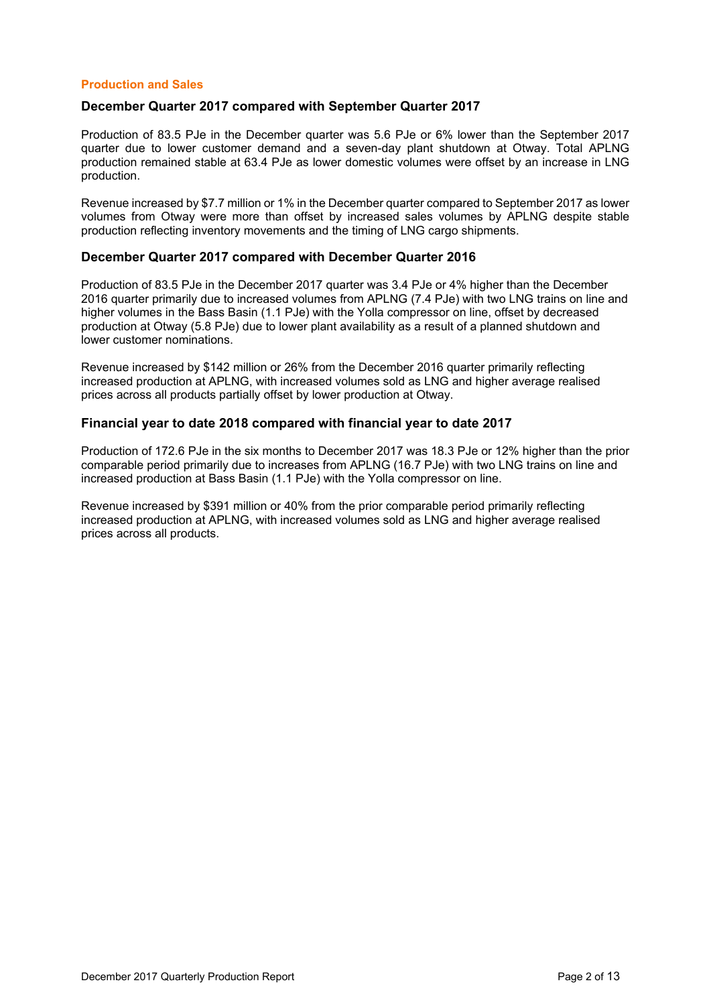#### **Production and Sales**

#### **December Quarter 2017 compared with September Quarter 2017**

Production of 83.5 PJe in the December quarter was 5.6 PJe or 6% lower than the September 2017 quarter due to lower customer demand and a seven-day plant shutdown at Otway. Total APLNG production remained stable at 63.4 PJe as lower domestic volumes were offset by an increase in LNG production.

Revenue increased by \$7.7 million or 1% in the December quarter compared to September 2017 as lower volumes from Otway were more than offset by increased sales volumes by APLNG despite stable production reflecting inventory movements and the timing of LNG cargo shipments.

#### **December Quarter 2017 compared with December Quarter 2016**

Production of 83.5 PJe in the December 2017 quarter was 3.4 PJe or 4% higher than the December 2016 quarter primarily due to increased volumes from APLNG (7.4 PJe) with two LNG trains on line and higher volumes in the Bass Basin (1.1 PJe) with the Yolla compressor on line, offset by decreased production at Otway (5.8 PJe) due to lower plant availability as a result of a planned shutdown and lower customer nominations.

Revenue increased by \$142 million or 26% from the December 2016 quarter primarily reflecting increased production at APLNG, with increased volumes sold as LNG and higher average realised prices across all products partially offset by lower production at Otway.

#### **Financial year to date 2018 compared with financial year to date 2017**

Production of 172.6 PJe in the six months to December 2017 was 18.3 PJe or 12% higher than the prior comparable period primarily due to increases from APLNG (16.7 PJe) with two LNG trains on line and increased production at Bass Basin (1.1 PJe) with the Yolla compressor on line.

Revenue increased by \$391 million or 40% from the prior comparable period primarily reflecting increased production at APLNG, with increased volumes sold as LNG and higher average realised prices across all products.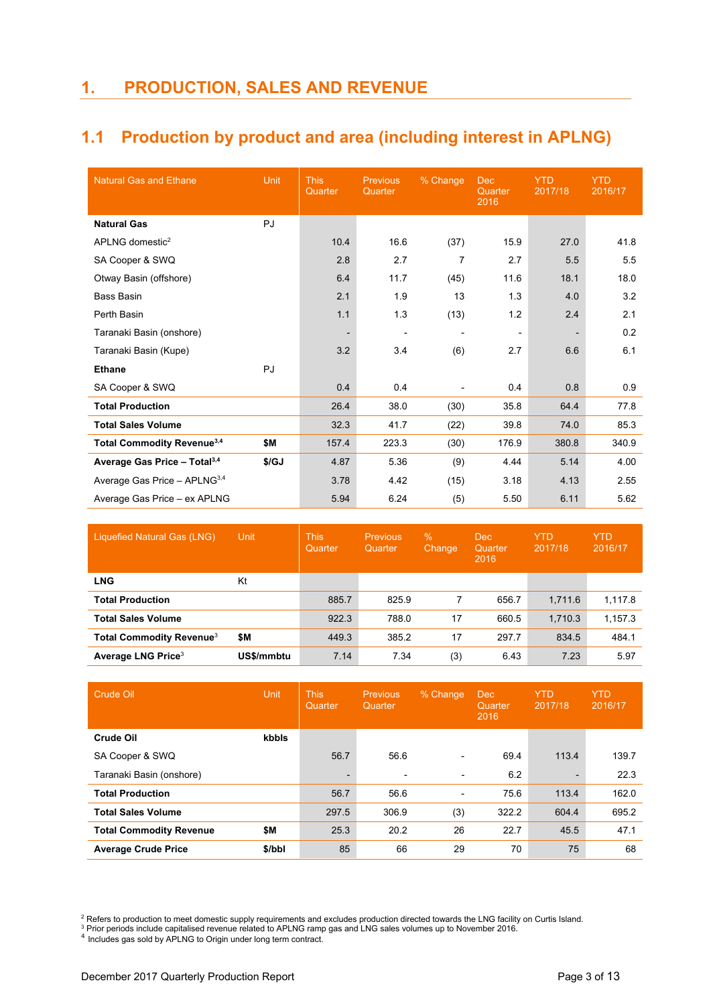# **1. PRODUCTION, SALES AND REVENUE**

# **1.1 Production by product and area (including interest in APLNG)**

| <b>Natural Gas and Ethane</b>          | <b>Unit</b> | <b>This</b><br>Quarter   | <b>Previous</b><br>Quarter | % Change                 | Dec<br>Quarter<br>2016   | <b>YTD</b><br>2017/18 | <b>YTD</b><br>2016/17 |
|----------------------------------------|-------------|--------------------------|----------------------------|--------------------------|--------------------------|-----------------------|-----------------------|
| <b>Natural Gas</b>                     | PJ          |                          |                            |                          |                          |                       |                       |
| APLNG domestic <sup>2</sup>            |             | 10.4                     | 16.6                       | (37)                     | 15.9                     | 27.0                  | 41.8                  |
| SA Cooper & SWQ                        |             | 2.8                      | 2.7                        | 7                        | 2.7                      | 5.5                   | 5.5                   |
| Otway Basin (offshore)                 |             | 6.4                      | 11.7                       | (45)                     | 11.6                     | 18.1                  | 18.0                  |
| <b>Bass Basin</b>                      |             | 2.1                      | 1.9                        | 13                       | 1.3                      | 4.0                   | 3.2                   |
| Perth Basin                            |             | 1.1                      | 1.3                        | (13)                     | 1.2                      | 2.4                   | 2.1                   |
| Taranaki Basin (onshore)               |             | $\overline{\phantom{a}}$ | $\overline{\phantom{a}}$   | $\overline{\phantom{0}}$ | $\overline{\phantom{a}}$ |                       | 0.2                   |
| Taranaki Basin (Kupe)                  |             | 3.2                      | 3.4                        | (6)                      | 2.7                      | 6.6                   | 6.1                   |
| <b>Ethane</b>                          | PJ          |                          |                            |                          |                          |                       |                       |
| SA Cooper & SWQ                        |             | 0.4                      | 0.4                        |                          | 0.4                      | 0.8                   | 0.9                   |
| <b>Total Production</b>                |             | 26.4                     | 38.0                       | (30)                     | 35.8                     | 64.4                  | 77.8                  |
| <b>Total Sales Volume</b>              |             | 32.3                     | 41.7                       | (22)                     | 39.8                     | 74.0                  | 85.3                  |
| Total Commodity Revenue <sup>3,4</sup> | \$M         | 157.4                    | 223.3                      | (30)                     | 176.9                    | 380.8                 | 340.9                 |
| Average Gas Price - Total $3,4$        | \$/GJ       | 4.87                     | 5.36                       | (9)                      | 4.44                     | 5.14                  | 4.00                  |
| Average Gas Price - $APLNG^{3,4}$      |             | 3.78                     | 4.42                       | (15)                     | 3.18                     | 4.13                  | 2.55                  |
| Average Gas Price - ex APLNG           |             | 5.94                     | 6.24                       | (5)                      | 5.50                     | 6.11                  | 5.62                  |

| Liquefied Natural Gas (LNG)                 | Unit       | <b>This</b><br>Quarter | <b>Previous</b><br>Quarter | $\%$<br>Change | 'Dec<br>Quarter<br>2016 | <b>YTD</b><br>2017/18 | <b>YTD</b><br>2016/17 |
|---------------------------------------------|------------|------------------------|----------------------------|----------------|-------------------------|-----------------------|-----------------------|
| <b>LNG</b>                                  | Kt         |                        |                            |                |                         |                       |                       |
| <b>Total Production</b>                     |            | 885.7                  | 825.9                      | 7              | 656.7                   | 1,711.6               | 1,117.8               |
| <b>Total Sales Volume</b>                   |            | 922.3                  | 788.0                      | 17             | 660.5                   | 1,710.3               | 1,157.3               |
| <b>Total Commodity Revenue</b> <sup>3</sup> | \$Μ        | 449.3                  | 385.2                      | 17             | 297.7                   | 834.5                 | 484.1                 |
| Average LNG Price <sup>3</sup>              | US\$/mmbtu | 7.14                   | 7.34                       | (3)            | 6.43                    | 7.23                  | 5.97                  |

| Crude Oil                      | Unit   | <b>This</b><br>Quarter | Previous<br>Quarter      | % Change                 | Dec<br>Quarter<br>2016 | <b>YTD</b><br>2017/18 | <b>YTD</b><br>2016/17 |
|--------------------------------|--------|------------------------|--------------------------|--------------------------|------------------------|-----------------------|-----------------------|
| Crude Oil                      | kbbls  |                        |                          |                          |                        |                       |                       |
| SA Cooper & SWQ                |        | 56.7                   | 56.6                     | $\overline{\phantom{a}}$ | 69.4                   | 113.4                 | 139.7                 |
| Taranaki Basin (onshore)       |        | $\qquad \qquad$        | $\overline{\phantom{a}}$ | $\overline{\phantom{a}}$ | 6.2                    |                       | 22.3                  |
| <b>Total Production</b>        |        | 56.7                   | 56.6                     | $\overline{\phantom{a}}$ | 75.6                   | 113.4                 | 162.0                 |
| <b>Total Sales Volume</b>      |        | 297.5                  | 306.9                    | (3)                      | 322.2                  | 604.4                 | 695.2                 |
| <b>Total Commodity Revenue</b> | \$Μ    | 25.3                   | 20.2                     | 26                       | 22.7                   | 45.5                  | 47.1                  |
| <b>Average Crude Price</b>     | \$/bbl | 85                     | 66                       | 29                       | 70                     | 75                    | 68                    |

<sup>2</sup> Refers to production to meet domestic supply requirements and excludes production directed towards the LNG facility on Curtis Island.<br><sup>3</sup> Prior periods include capitalised revenue related to APLNG ramp gas and LNG sale

<sup>4</sup> Includes gas sold by APLNG to Origin under long term contract.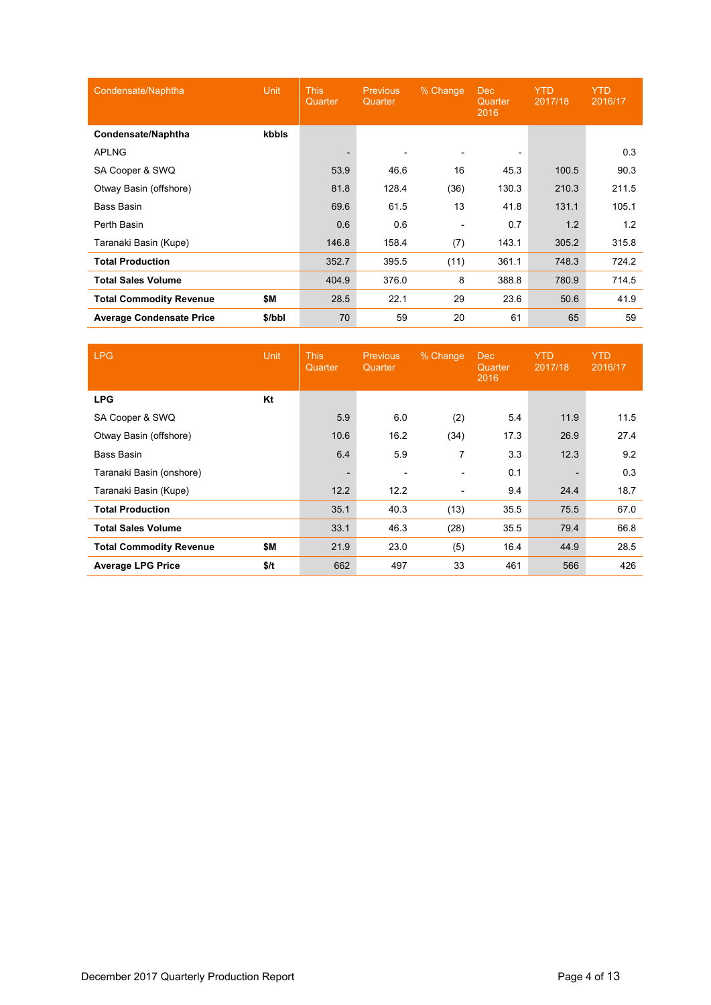| Condensate/Naphtha              | Unit   | <b>This</b><br>Quarter | <b>Previous</b><br>Quarter | % Change                 | <b>Dec</b><br>Quarter<br>2016 | <b>YTD</b><br>2017/18 | <b>YTD</b><br>2016/17 |
|---------------------------------|--------|------------------------|----------------------------|--------------------------|-------------------------------|-----------------------|-----------------------|
| Condensate/Naphtha              | kbbls  |                        |                            |                          |                               |                       |                       |
| <b>APLNG</b>                    |        | ٠                      | $\overline{\phantom{a}}$   | $\overline{\phantom{a}}$ | $\overline{\phantom{a}}$      |                       | 0.3                   |
| SA Cooper & SWQ                 |        | 53.9                   | 46.6                       | 16                       | 45.3                          | 100.5                 | 90.3                  |
| Otway Basin (offshore)          |        | 81.8                   | 128.4                      | (36)                     | 130.3                         | 210.3                 | 211.5                 |
| Bass Basin                      |        | 69.6                   | 61.5                       | 13                       | 41.8                          | 131.1                 | 105.1                 |
| Perth Basin                     |        | 0.6                    | 0.6                        | $\overline{\phantom{a}}$ | 0.7                           | 1.2                   | 1.2                   |
| Taranaki Basin (Kupe)           |        | 146.8                  | 158.4                      | (7)                      | 143.1                         | 305.2                 | 315.8                 |
| <b>Total Production</b>         |        | 352.7                  | 395.5                      | (11)                     | 361.1                         | 748.3                 | 724.2                 |
| <b>Total Sales Volume</b>       |        | 404.9                  | 376.0                      | 8                        | 388.8                         | 780.9                 | 714.5                 |
| <b>Total Commodity Revenue</b>  | \$M    | 28.5                   | 22.1                       | 29                       | 23.6                          | 50.6                  | 41.9                  |
| <b>Average Condensate Price</b> | \$/bbl | 70                     | 59                         | 20                       | 61                            | 65                    | 59                    |

| <b>LPG</b>                     | Unit | <b>This</b><br>Quarter   | <b>Previous</b><br>Quarter | % Change                 | <b>Dec</b><br>Quarter<br>2016 | <b>YTD</b><br>2017/18 | <b>YTD</b><br>2016/17 |
|--------------------------------|------|--------------------------|----------------------------|--------------------------|-------------------------------|-----------------------|-----------------------|
| <b>LPG</b>                     | Kt   |                          |                            |                          |                               |                       |                       |
| SA Cooper & SWQ                |      | 5.9                      | 6.0                        | (2)                      | 5.4                           | 11.9                  | 11.5                  |
| Otway Basin (offshore)         |      | 10.6                     | 16.2                       | (34)                     | 17.3                          | 26.9                  | 27.4                  |
| Bass Basin                     |      | 6.4                      | 5.9                        | $\overline{7}$           | 3.3                           | 12.3                  | 9.2                   |
| Taranaki Basin (onshore)       |      | $\overline{\phantom{0}}$ | $\overline{\phantom{a}}$   | $\overline{\phantom{a}}$ | 0.1                           |                       | 0.3                   |
| Taranaki Basin (Kupe)          |      | 12.2                     | 12.2                       | $\overline{\phantom{a}}$ | 9.4                           | 24.4                  | 18.7                  |
| <b>Total Production</b>        |      | 35.1                     | 40.3                       | (13)                     | 35.5                          | 75.5                  | 67.0                  |
| <b>Total Sales Volume</b>      |      | 33.1                     | 46.3                       | (28)                     | 35.5                          | 79.4                  | 66.8                  |
| <b>Total Commodity Revenue</b> | \$Μ  | 21.9                     | 23.0                       | (5)                      | 16.4                          | 44.9                  | 28.5                  |
| <b>Average LPG Price</b>       | \$/t | 662                      | 497                        | 33                       | 461                           | 566                   | 426                   |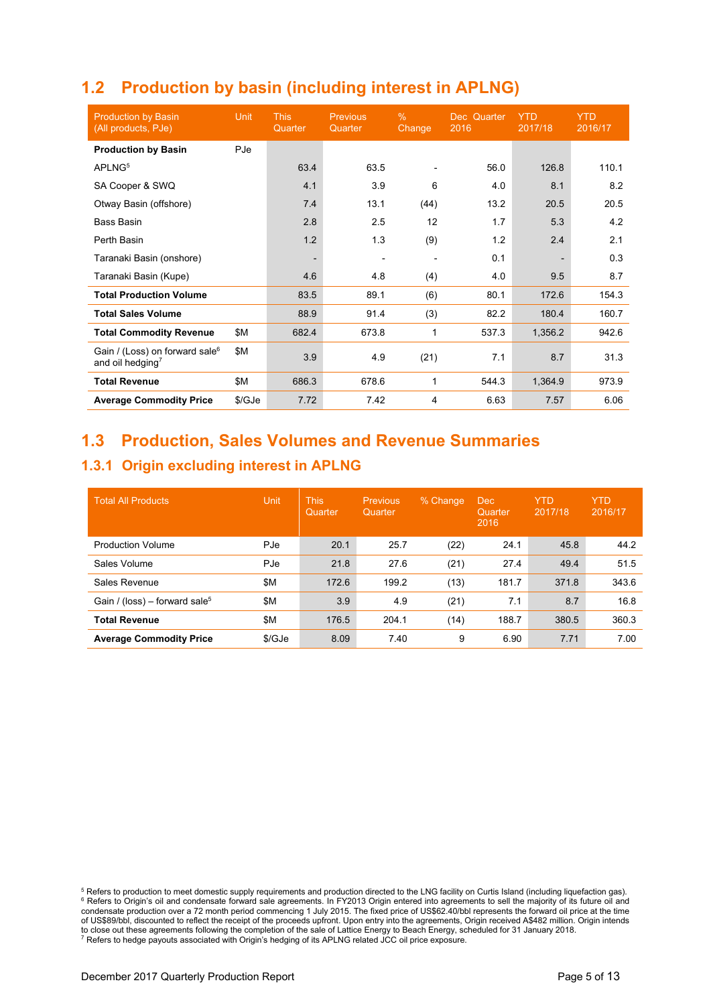# **1.2 Production by basin (including interest in APLNG)**

| <b>Production by Basin</b><br>(All products, PJe)                          | Unit   | <b>This</b><br>Quarter | <b>Previous</b><br>Quarter | $\%$<br>Change | Dec Quarter<br>2016 | <b>YTD</b><br>2017/18 | <b>YTD</b><br>2016/17 |
|----------------------------------------------------------------------------|--------|------------------------|----------------------------|----------------|---------------------|-----------------------|-----------------------|
| <b>Production by Basin</b>                                                 | PJe    |                        |                            |                |                     |                       |                       |
| APLNG <sup>5</sup>                                                         |        | 63.4                   | 63.5                       |                | 56.0                | 126.8                 | 110.1                 |
| SA Cooper & SWQ                                                            |        | 4.1                    | 3.9                        | 6              | 4.0                 | 8.1                   | 8.2                   |
| Otway Basin (offshore)                                                     |        | 7.4                    | 13.1                       | (44)           | 13.2                | 20.5                  | 20.5                  |
| <b>Bass Basin</b>                                                          |        | 2.8                    | 2.5                        | 12             | 1.7                 | 5.3                   | 4.2                   |
| Perth Basin                                                                |        | 1.2                    | 1.3                        | (9)            | 1.2                 | 2.4                   | 2.1                   |
| Taranaki Basin (onshore)                                                   |        |                        |                            |                | 0.1                 |                       | 0.3                   |
| Taranaki Basin (Kupe)                                                      |        | 4.6                    | 4.8                        | (4)            | 4.0                 | 9.5                   | 8.7                   |
| <b>Total Production Volume</b>                                             |        | 83.5                   | 89.1                       | (6)            | 80.1                | 172.6                 | 154.3                 |
| <b>Total Sales Volume</b>                                                  |        | 88.9                   | 91.4                       | (3)            | 82.2                | 180.4                 | 160.7                 |
| <b>Total Commodity Revenue</b>                                             | \$Μ    | 682.4                  | 673.8                      | 1              | 537.3               | 1,356.2               | 942.6                 |
| Gain / (Loss) on forward sale <sup>6</sup><br>and oil hedging <sup>7</sup> | \$Μ    | 3.9                    | 4.9                        | (21)           | 7.1                 | 8.7                   | 31.3                  |
| <b>Total Revenue</b>                                                       | \$M    | 686.3                  | 678.6                      | 1              | 544.3               | 1,364.9               | 973.9                 |
| <b>Average Commodity Price</b>                                             | \$/GJe | 7.72                   | 7.42                       | 4              | 6.63                | 7.57                  | 6.06                  |

## **1.3 Production, Sales Volumes and Revenue Summaries**

## **1.3.1 Origin excluding interest in APLNG**

| <b>Total All Products</b>                 | 'Unit      | <b>This</b><br>Quarter | <b>Previous</b><br>Quarter | % Change | Dec.<br>Quarter<br>2016 | <b>YTD</b><br>2017/18 | <b>YTD</b><br>2016/17 |
|-------------------------------------------|------------|------------------------|----------------------------|----------|-------------------------|-----------------------|-----------------------|
| <b>Production Volume</b>                  | PJe        | 20.1                   | 25.7                       | (22)     | 24.1                    | 45.8                  | 44.2                  |
| Sales Volume                              | PJe        | 21.8                   | 27.6                       | (21)     | 27.4                    | 49.4                  | 51.5                  |
| Sales Revenue                             | \$M        | 172.6                  | 199.2                      | (13)     | 181.7                   | 371.8                 | 343.6                 |
| Gain / (loss) – forward sale <sup>5</sup> | <b>\$M</b> | 3.9                    | 4.9                        | (21)     | 7.1                     | 8.7                   | 16.8                  |
| <b>Total Revenue</b>                      | \$Μ        | 176.5                  | 204.1                      | (14)     | 188.7                   | 380.5                 | 360.3                 |
| <b>Average Commodity Price</b>            | \$/GJe     | 8.09                   | 7.40                       | 9        | 6.90                    | 7.71                  | 7.00                  |

<sup>&</sup>lt;sup>5</sup> Refers to production to meet domestic supply requirements and production directed to the LNG facility on Curtis Island (including liquefaction gas).<br><sup>6</sup> Refers to Origin's oil and condensate forward sale agreements. In condensate production over a 72 month period commencing 1 July 2015. The fixed price of US\$62.40/bbl represents the forward oil price at the time of US\$89/bbl, discounted to reflect the receipt of the proceeds upfront. Upon entry into the agreements, Origin received A\$482 million. Origin intends to close out these agreements following the completion of the sale of Lattice Energy to Beach Energy, scheduled for 31 January 2018.<br><sup>7</sup> Refers to hedge payouts associated with Origin's hedging of its APLNG related JCC oil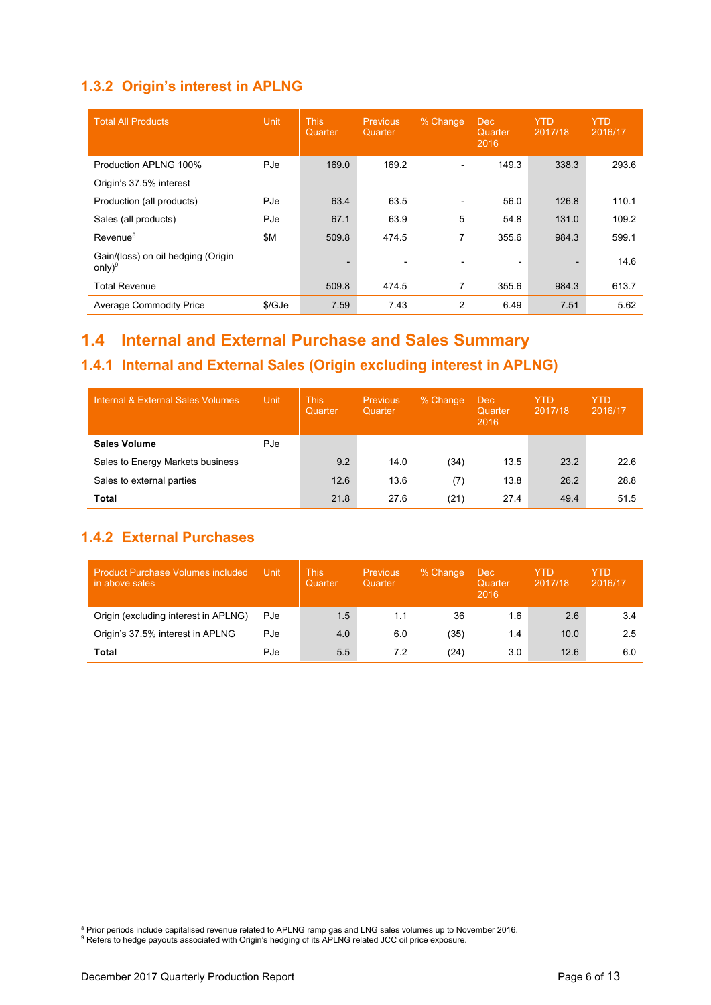### **1.3.2 Origin's interest in APLNG**

| <b>Total All Products</b>                        | Unit   | <b>This</b><br>Quarter | <b>Previous</b><br>Quarter | % Change                 | <b>Dec</b><br>Quarter<br>2016 | <b>YTD</b><br>2017/18 | <b>YTD</b><br>2016/17 |
|--------------------------------------------------|--------|------------------------|----------------------------|--------------------------|-------------------------------|-----------------------|-----------------------|
| Production APLNG 100%                            | PJe    | 169.0                  | 169.2                      | $\overline{\phantom{a}}$ | 149.3                         | 338.3                 | 293.6                 |
| Origin's 37.5% interest                          |        |                        |                            |                          |                               |                       |                       |
| Production (all products)                        | PJe    | 63.4                   | 63.5                       | $\overline{\phantom{0}}$ | 56.0                          | 126.8                 | 110.1                 |
| Sales (all products)                             | PJe    | 67.1                   | 63.9                       | 5                        | 54.8                          | 131.0                 | 109.2                 |
| Revenue <sup>8</sup>                             | \$M    | 509.8                  | 474.5                      | 7                        | 355.6                         | 984.3                 | 599.1                 |
| Gain/(loss) on oil hedging (Origin<br>only $)^9$ |        |                        |                            | $\overline{\phantom{0}}$ | $\overline{\phantom{0}}$      |                       | 14.6                  |
| <b>Total Revenue</b>                             |        | 509.8                  | 474.5                      | 7                        | 355.6                         | 984.3                 | 613.7                 |
| <b>Average Commodity Price</b>                   | \$/GJe | 7.59                   | 7.43                       | 2                        | 6.49                          | 7.51                  | 5.62                  |

# **1.4 Internal and External Purchase and Sales Summary**

## **1.4.1 Internal and External Sales (Origin excluding interest in APLNG)**

| Internal & External Sales Volumes | Unit | <b>This</b><br>Quarter | <b>Previous</b><br>Quarter | % Change | Dec<br>Quarter<br>2016 | <b>YTD</b><br>2017/18 | YTD<br>2016/17 |
|-----------------------------------|------|------------------------|----------------------------|----------|------------------------|-----------------------|----------------|
| <b>Sales Volume</b>               | PJe  |                        |                            |          |                        |                       |                |
| Sales to Energy Markets business  |      | 9.2                    | 14.0                       | (34)     | 13.5                   | 23.2                  | 22.6           |
| Sales to external parties         |      | 12.6                   | 13.6                       | (7)      | 13.8                   | 26.2                  | 28.8           |
| <b>Total</b>                      |      | 21.8                   | 27.6                       | (21)     | 27.4                   | 49.4                  | 51.5           |

### **1.4.2 External Purchases**

| <b>Product Purchase Volumes included</b><br>in above sales | Unit | <b>This</b><br>Quarter | <b>Previous</b><br>Quarter | % Change | Dec<br>Quarter<br>2016 | YTD<br>2017/18 | YTD<br>2016/17 |
|------------------------------------------------------------|------|------------------------|----------------------------|----------|------------------------|----------------|----------------|
| Origin (excluding interest in APLNG)                       | PJe  | 1.5                    | 1.1                        | 36       | 1.6                    | 2.6            | 3.4            |
| Origin's 37.5% interest in APLNG                           | PJe  | 4.0                    | 6.0                        | (35)     | 1.4                    | 10.0           | 2.5            |
| Total                                                      | PJe  | 5.5                    | 7.2                        | (24)     | 3.0                    | 12.6           | 6.0            |

<sup>8</sup> Prior periods include capitalised revenue related to APLNG ramp gas and LNG sales volumes up to November 2016.<br><sup>9</sup> Refers to hedge payouts associated with Origin's hedging of its APLNG related JCC oil price exposure.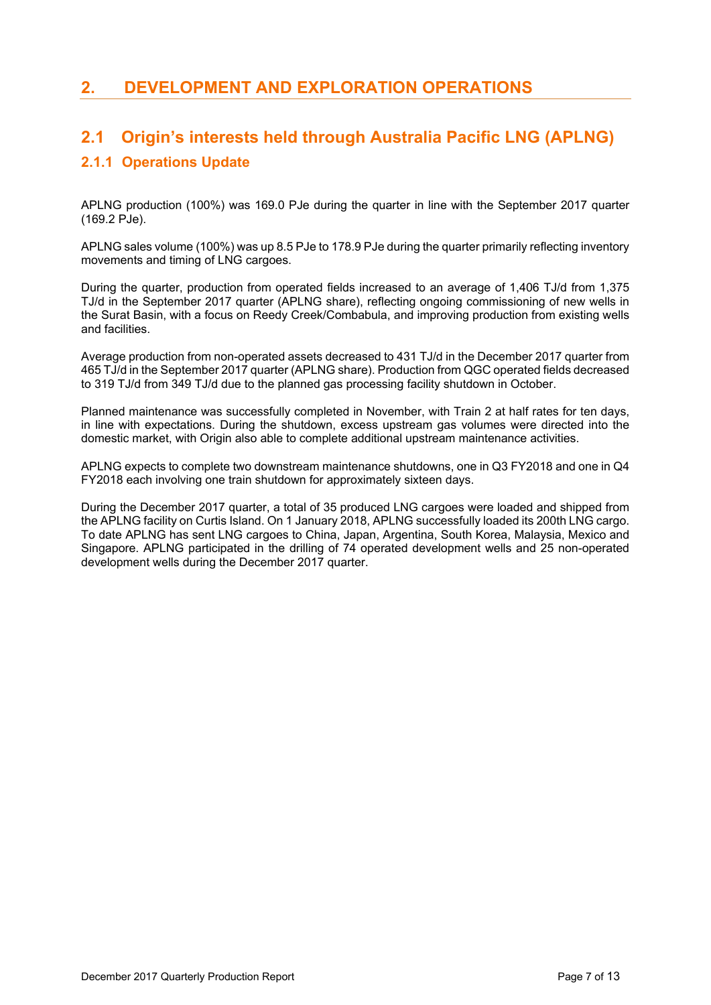## **2. DEVELOPMENT AND EXPLORATION OPERATIONS**

## **2.1 Origin's interests held through Australia Pacific LNG (APLNG)**

#### **2.1.1 Operations Update**

APLNG production (100%) was 169.0 PJe during the quarter in line with the September 2017 quarter (169.2 PJe).

APLNG sales volume (100%) was up 8.5 PJe to 178.9 PJe during the quarter primarily reflecting inventory movements and timing of LNG cargoes.

During the quarter, production from operated fields increased to an average of 1,406 TJ/d from 1,375 TJ/d in the September 2017 quarter (APLNG share), reflecting ongoing commissioning of new wells in the Surat Basin, with a focus on Reedy Creek/Combabula, and improving production from existing wells and facilities.

Average production from non-operated assets decreased to 431 TJ/d in the December 2017 quarter from 465 TJ/d in the September 2017 quarter (APLNG share). Production from QGC operated fields decreased to 319 TJ/d from 349 TJ/d due to the planned gas processing facility shutdown in October.

Planned maintenance was successfully completed in November, with Train 2 at half rates for ten days, in line with expectations. During the shutdown, excess upstream gas volumes were directed into the domestic market, with Origin also able to complete additional upstream maintenance activities.

APLNG expects to complete two downstream maintenance shutdowns, one in Q3 FY2018 and one in Q4 FY2018 each involving one train shutdown for approximately sixteen days.

During the December 2017 quarter, a total of 35 produced LNG cargoes were loaded and shipped from the APLNG facility on Curtis Island. On 1 January 2018, APLNG successfully loaded its 200th LNG cargo. To date APLNG has sent LNG cargoes to China, Japan, Argentina, South Korea, Malaysia, Mexico and Singapore. APLNG participated in the drilling of 74 operated development wells and 25 non-operated development wells during the December 2017 quarter.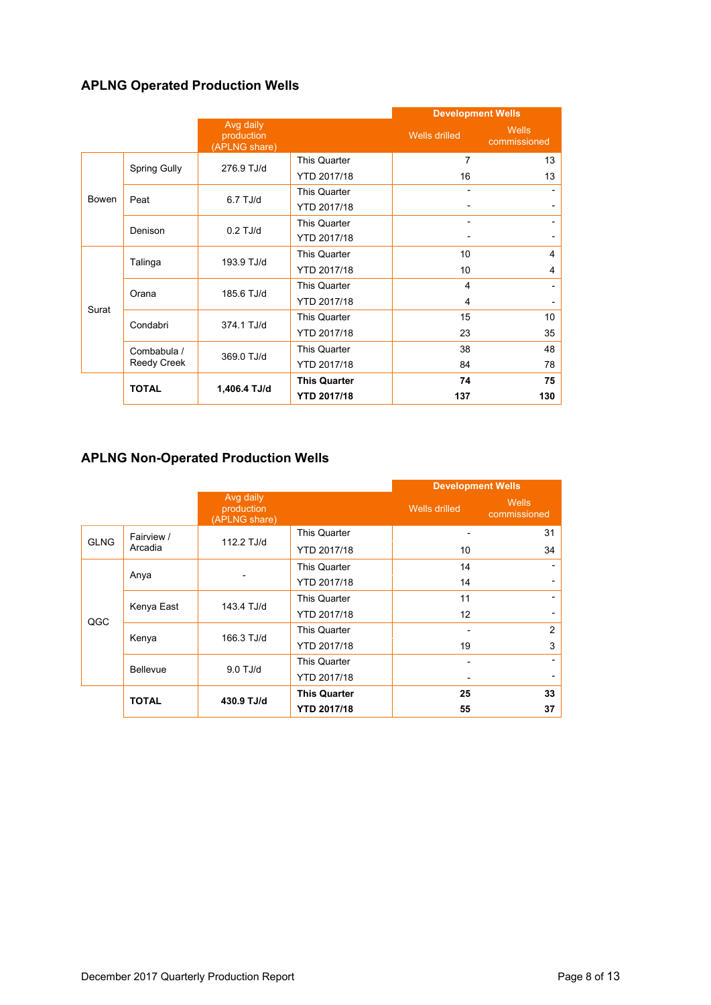### **APLNG Operated Production Wells**

|       |                    |                                          |                     | <b>Development Wells</b>     |                              |
|-------|--------------------|------------------------------------------|---------------------|------------------------------|------------------------------|
|       |                    | Avg daily<br>production<br>(APLNG share) |                     | Wells drilled                | <b>Wells</b><br>commissioned |
|       | Spring Gully       | 276.9 TJ/d                               | This Quarter        | $\overline{7}$               | 13                           |
|       |                    |                                          | YTD 2017/18         | 16                           | 13                           |
| Bowen | Peat               | $6.7$ TJ/d                               | <b>This Quarter</b> | $\overline{a}$               |                              |
|       |                    |                                          | <b>YTD 2017/18</b>  | -                            |                              |
|       | Denison            | $0.2$ TJ/d                               | This Quarter        | $\qquad \qquad \blacksquare$ |                              |
|       |                    |                                          | <b>YTD 2017/18</b>  | $\qquad \qquad \blacksquare$ |                              |
|       | Talinga            | 193.9 TJ/d                               | <b>This Quarter</b> | 10                           | 4                            |
|       |                    |                                          | <b>YTD 2017/18</b>  | 10                           | 4                            |
|       | Orana              | 185.6 TJ/d                               | This Quarter        | 4                            | $\overline{\phantom{0}}$     |
| Surat |                    |                                          | YTD 2017/18         | 4                            |                              |
|       | Condabri           | 374.1 TJ/d                               | This Quarter        | 15                           | 10                           |
|       |                    |                                          | <b>YTD 2017/18</b>  | 23                           | 35                           |
|       | Combabula /        | 369.0 TJ/d                               | This Quarter        | 38                           | 48                           |
|       | <b>Reedy Creek</b> |                                          | YTD 2017/18         | 84                           | 78                           |
|       | <b>TOTAL</b>       | 1,406.4 TJ/d                             | <b>This Quarter</b> | 74                           | 75                           |
|       |                    |                                          | <b>YTD 2017/18</b>  | 137                          | 130                          |

### **APLNG Non-Operated Production Wells**

|             |                            |                                                                |                     | <b>Development Wells</b> |                              |  |
|-------------|----------------------------|----------------------------------------------------------------|---------------------|--------------------------|------------------------------|--|
|             |                            | Avg daily<br>production<br>(APLNG share)                       |                     | Wells drilled            | <b>Wells</b><br>commissioned |  |
| <b>GLNG</b> | Fairview /                 | <b>This Quarter</b><br>112.2 TJ/d<br>YTD 2017/18               |                     |                          | 31                           |  |
|             | Arcadia                    |                                                                | 10                  | 34                       |                              |  |
|             |                            |                                                                |                     | <b>This Quarter</b>      | 14                           |  |
|             | Anya                       |                                                                | YTD 2017/18         | 14                       |                              |  |
|             |                            | <b>This Quarter</b><br>143.4 TJ/d<br>Kenya East<br>YTD 2017/18 |                     | 11                       |                              |  |
| QGC         |                            |                                                                | 12                  |                          |                              |  |
|             | Kenya                      | 166.3 TJ/d                                                     | <b>This Quarter</b> |                          | $\overline{2}$               |  |
|             |                            |                                                                | <b>YTD 2017/18</b>  | 19                       | 3                            |  |
|             | <b>Bellevue</b>            | $9.0$ TJ/d                                                     | This Quarter        |                          |                              |  |
|             |                            |                                                                | YTD 2017/18         |                          |                              |  |
|             | <b>TOTAL</b><br>430.9 TJ/d |                                                                | <b>This Quarter</b> | 25                       | 33                           |  |
|             |                            |                                                                | <b>YTD 2017/18</b>  | 55                       | 37                           |  |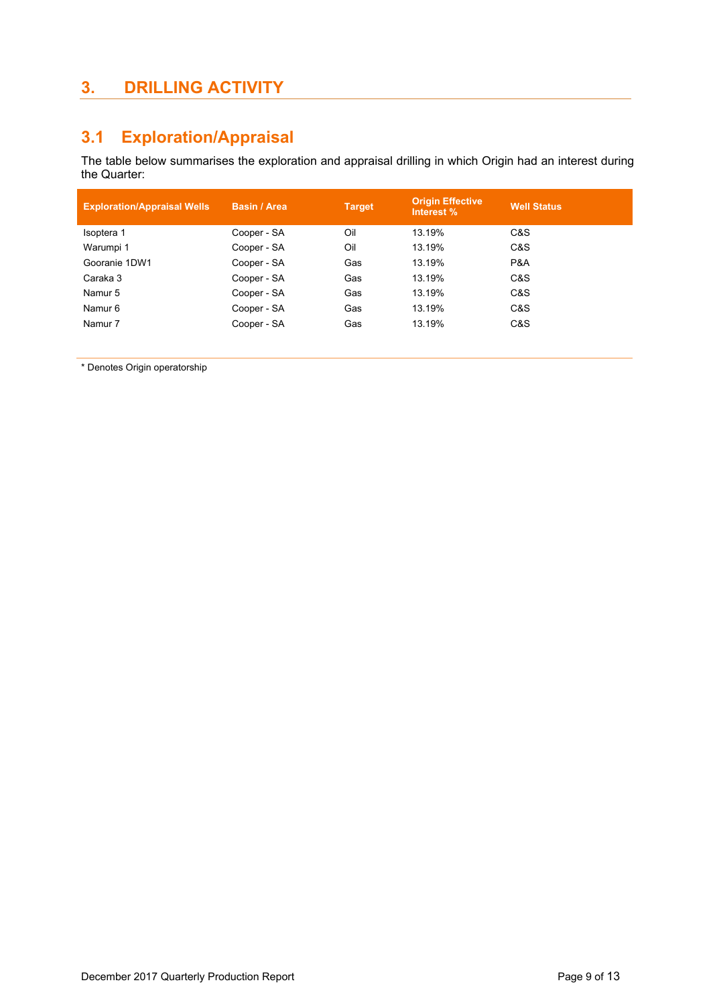## **3. DRILLING ACTIVITY**

# **3.1 Exploration/Appraisal**

The table below summarises the exploration and appraisal drilling in which Origin had an interest during the Quarter:

| <b>Exploration/Appraisal Wells</b> | <b>Basin / Area</b> | <b>Target</b> | <b>Origin Effective</b><br>Interest % | <b>Well Status</b> |
|------------------------------------|---------------------|---------------|---------------------------------------|--------------------|
| Isoptera 1                         | Cooper - SA         | Oil           | 13.19%                                | C&S                |
| Warumpi 1                          | Cooper - SA         | Oil           | 13.19%                                | C&S                |
| Gooranie 1DW1                      | Cooper - SA         | Gas           | 13.19%                                | P&A                |
| Caraka 3                           | Cooper - SA         | Gas           | 13.19%                                | C&S                |
| Namur 5                            | Cooper - SA         | Gas           | 13.19%                                | C&S                |
| Namur <sub>6</sub>                 | Cooper - SA         | Gas           | 13.19%                                | C&S                |
| Namur 7                            | Cooper - SA         | Gas           | 13.19%                                | C&S                |

\* Denotes Origin operatorship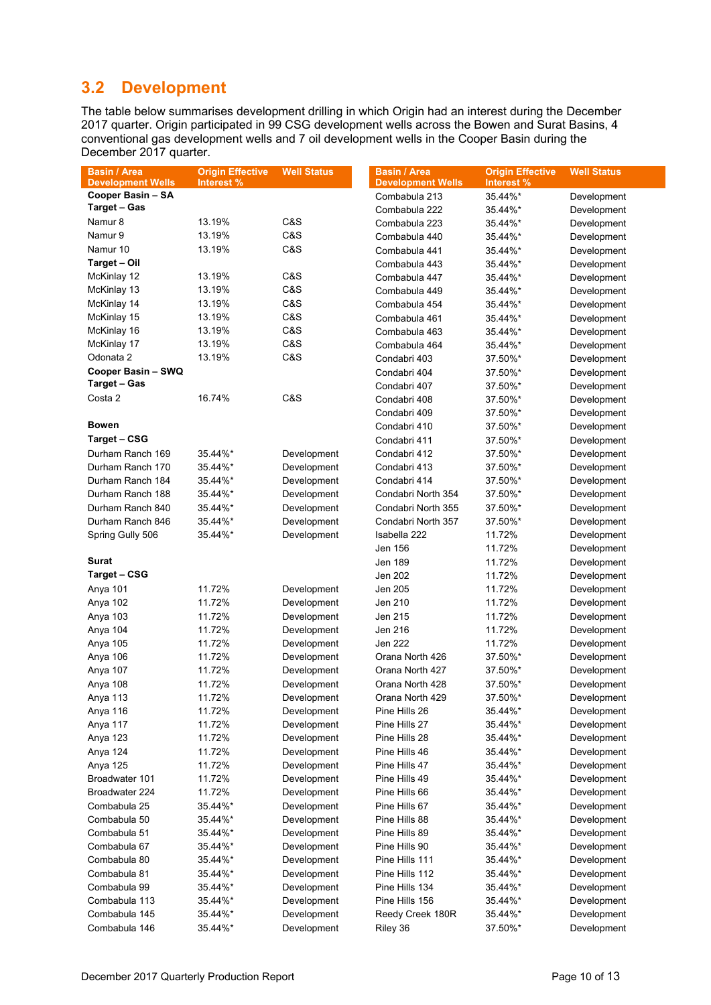# **3.2 Development**

The table below summarises development drilling in which Origin had an interest during the December 2017 quarter. Origin participated in 99 CSG development wells across the Bowen and Surat Basins, 4 conventional gas development wells and 7 oil development wells in the Cooper Basin during the December 2017 quarter.

| <b>Basin / Area</b>      | <b>Origin Effective</b> | <b>Well Status</b> | <b>Basin / Area</b>      | <b>Origin Effective</b> | <b>Well Status</b> |
|--------------------------|-------------------------|--------------------|--------------------------|-------------------------|--------------------|
| <b>Development Wells</b> | Interest %              |                    | <b>Development Wells</b> | Interest %              |                    |
| Cooper Basin - SA        |                         |                    | Combabula 213            | 35.44%*                 | Development        |
| <b>Target - Gas</b>      |                         |                    | Combabula 222            | 35.44%*                 | Development        |
| Namur 8                  | 13.19%                  | C&S                | Combabula 223            | 35.44%*                 | Development        |
| Namur 9                  | 13.19%                  | C&S                | Combabula 440            | 35.44%*                 | Development        |
| Namur 10                 | 13.19%                  | C&S                | Combabula 441            | 35.44%*                 | Development        |
| <b>Target - Oil</b>      |                         |                    | Combabula 443            | 35.44%*                 | Development        |
| McKinlay 12              | 13.19%                  | C&S                | Combabula 447            | 35.44%*                 | Development        |
| McKinlay 13              | 13.19%                  | C&S                | Combabula 449            | 35.44%*                 | Development        |
| McKinlay 14              | 13.19%                  | C&S                | Combabula 454            | 35.44%*                 | Development        |
| McKinlay 15              | 13.19%                  | C&S                | Combabula 461            | 35.44%*                 | Development        |
| McKinlay 16              | 13.19%                  | C&S                | Combabula 463            | 35.44%*                 | Development        |
| McKinlay 17              | 13.19%                  | C&S                | Combabula 464            | 35.44%*                 | Development        |
| Odonata 2                | 13.19%                  | C&S                | Condabri 403             | 37.50%*                 | Development        |
| Cooper Basin - SWQ       |                         |                    | Condabri 404             | 37.50%*                 | Development        |
| <b>Target - Gas</b>      |                         |                    | Condabri 407             | 37.50%*                 | Development        |
| Costa 2                  | 16.74%                  | C&S                | Condabri 408             | 37.50%*                 | Development        |
|                          |                         |                    | Condabri 409             | 37.50%*                 | Development        |
| <b>Bowen</b>             |                         |                    | Condabri 410             | 37.50%*                 | Development        |
| <b>Target - CSG</b>      |                         |                    | Condabri 411             | 37.50%*                 | Development        |
| Durham Ranch 169         | 35.44%*                 | Development        | Condabri 412             | 37.50%*                 | Development        |
| Durham Ranch 170         | 35.44%*                 | Development        | Condabri 413             | 37.50%*                 | Development        |
| Durham Ranch 184         | 35.44%*                 | Development        | Condabri 414             | 37.50%*                 | Development        |
| Durham Ranch 188         | 35.44%*                 | Development        | Condabri North 354       | 37.50%*                 | Development        |
| Durham Ranch 840         | 35.44%*                 | Development        | Condabri North 355       | 37.50%*                 | Development        |
| Durham Ranch 846         | 35.44%*                 | Development        | Condabri North 357       | 37.50%*                 | Development        |
| Spring Gully 506         | 35.44%*                 | Development        | Isabella 222             | 11.72%                  | Development        |
|                          |                         |                    | Jen 156                  | 11.72%                  | Development        |
| Surat                    |                         |                    | Jen 189                  | 11.72%                  | Development        |
| <b>Target - CSG</b>      |                         |                    | Jen 202                  | 11.72%                  | Development        |
| Anya 101                 | 11.72%                  | Development        | Jen 205                  | 11.72%                  | Development        |
| Anya 102                 | 11.72%                  | Development        | Jen 210                  | 11.72%                  | Development        |
| Anya 103                 | 11.72%                  | Development        | Jen 215                  | 11.72%                  | Development        |
| Anya 104                 | 11.72%                  | Development        | Jen 216                  | 11.72%                  | Development        |
| Anya 105                 | 11.72%                  | Development        | Jen 222                  | 11.72%                  | Development        |
| Anya 106                 | 11.72%                  | Development        | Orana North 426          | 37.50%*                 | Development        |
| Anya 107                 | 11.72%                  | Development        | Orana North 427          | 37.50%*                 | Development        |
| Anya 108                 | 11.72%                  | Development        | Orana North 428          | 37.50%*                 | Development        |
| Anya 113                 | 11.72%                  | Development        | Orana North 429          | 37.50%*                 | Development        |
| Anya 116                 | 11.72%                  | Development        | Pine Hills 26            | 35.44%*                 | Development        |
| Anya 117                 | 11.72%                  | Development        | Pine Hills 27            | 35.44%*                 | Development        |
| Anya 123                 | 11.72%                  | Development        | Pine Hills 28            | 35.44%*                 | Development        |
| Anya 124                 | 11.72%                  | Development        | Pine Hills 46            | 35.44%*                 | Development        |
| Anya 125                 | 11.72%                  | Development        | Pine Hills 47            | 35.44%*                 | Development        |
| Broadwater 101           | 11.72%                  | Development        | Pine Hills 49            | 35.44%*                 | Development        |
| Broadwater 224           | 11.72%                  | Development        | Pine Hills 66            | 35.44%*                 | Development        |
| Combabula 25             | 35.44%*                 | Development        | Pine Hills 67            | 35.44%*                 | Development        |
| Combabula 50             | 35.44%*                 | Development        | Pine Hills 88            | 35.44%*                 | Development        |
| Combabula 51             | 35.44%*                 | Development        | Pine Hills 89            | 35.44%*                 | Development        |
| Combabula 67             | 35.44%*                 | Development        | Pine Hills 90            | 35.44%*                 | Development        |
| Combabula 80             | 35.44%*                 | Development        | Pine Hills 111           | 35.44%*                 | Development        |
| Combabula 81             | 35.44%*                 | Development        | Pine Hills 112           | 35.44%*                 | Development        |
| Combabula 99             | 35.44%*                 | Development        | Pine Hills 134           | 35.44%*                 | Development        |
| Combabula 113            | 35.44%*                 | Development        | Pine Hills 156           | 35.44%*                 | Development        |
| Combabula 145            | 35.44%*                 | Development        | Reedy Creek 180R         | 35.44%*                 | Development        |
| Combabula 146            | 35.44%*                 | Development        | Riley 36                 | 37.50%*                 | Development        |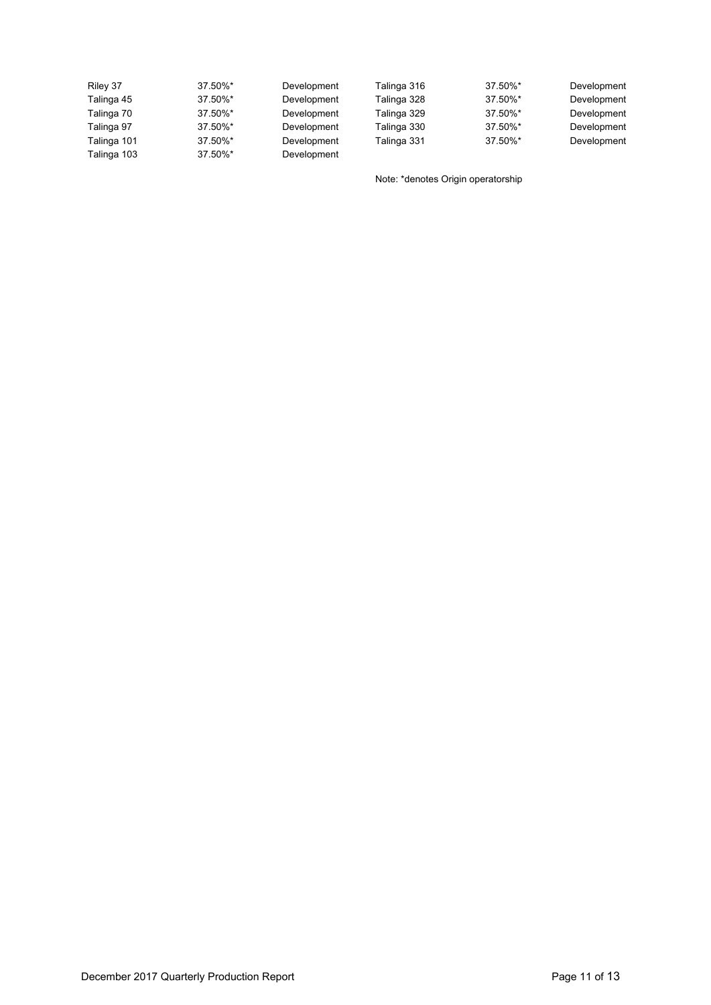| Riley 37    | 37.50%* | Development | Talinga 316 | 37.50%* | Development |
|-------------|---------|-------------|-------------|---------|-------------|
| Talinga 45  | 37.50%* | Development | Talinga 328 | 37.50%* | Development |
| Talinga 70  | 37.50%* | Development | Talinga 329 | 37.50%* | Development |
| Talinga 97  | 37.50%* | Development | Talinga 330 | 37.50%* | Development |
| Talinga 101 | 37.50%* | Development | Talinga 331 | 37.50%* | Development |
| Talinga 103 | 37.50%* | Development |             |         |             |

Note: \*denotes Origin operatorship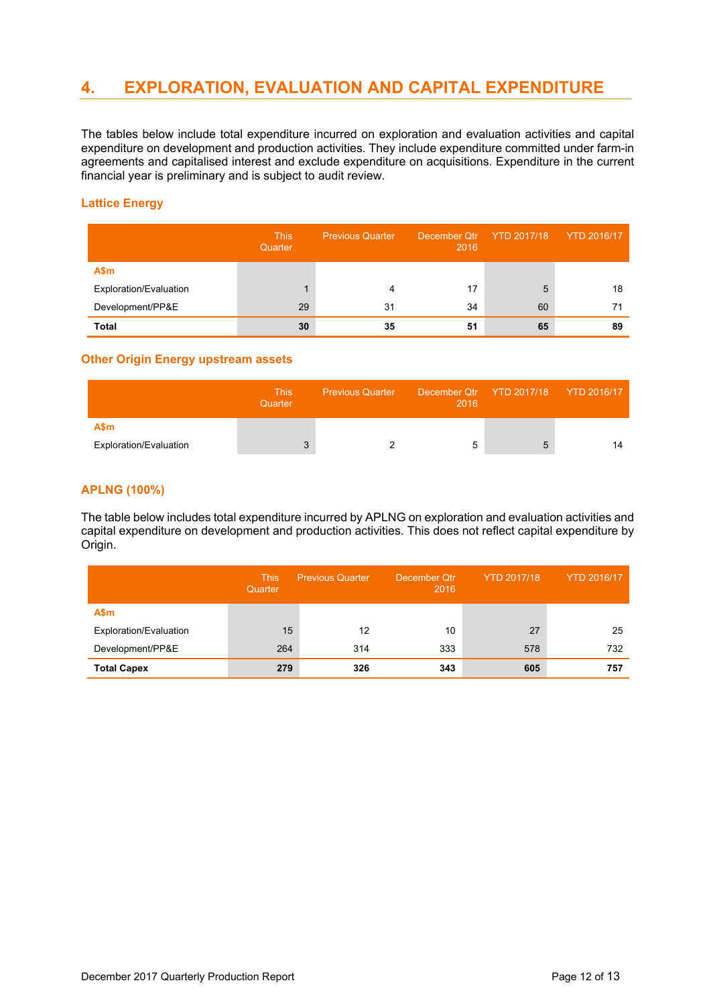## **4. EXPLORATION, EVALUATION AND CAPITAL EXPENDITURE**

The tables below include total expenditure incurred on exploration and evaluation activities and capital expenditure on development and production activities. They include expenditure committed under farm-in agreements and capitalised interest and exclude expenditure on acquisitions. Expenditure in the current financial year is preliminary and is subject to audit review.

#### **Lattice Energy**

|                        | <b>This</b><br>Quarter | <b>Previous Quarter</b> | December Qtr<br>2016 | YTD 2017/18 | <b>YTD 2016/17</b> |
|------------------------|------------------------|-------------------------|----------------------|-------------|--------------------|
| A\$m                   |                        |                         |                      |             |                    |
| Exploration/Evaluation |                        | 4                       |                      | 5           | 18                 |
| Development/PP&E       | 29                     | 31                      | 34                   | 60          |                    |
| Total                  | 30                     | 35                      | 51                   | 65          | 89                 |

#### **Other Origin Energy upstream assets**

|                                | <b>This</b><br>Quarter | <b>Previous Quarter</b> | 2016 | December Qtr YTD 2017/18 YTD 2016/17 |
|--------------------------------|------------------------|-------------------------|------|--------------------------------------|
| A\$m<br>Exploration/Evaluation |                        |                         |      |                                      |
|                                |                        |                         |      |                                      |

#### **APLNG (100%)**

The table below includes total expenditure incurred by APLNG on exploration and evaluation activities and capital expenditure on development and production activities. This does not reflect capital expenditure by Origin.

|                        | <b>This</b><br>Quarter | <b>Previous Quarter</b> | December Qtr<br>2016 | <b>YTD 2017/18</b> | <b>YTD 2016/17</b> |
|------------------------|------------------------|-------------------------|----------------------|--------------------|--------------------|
| A\$m                   |                        |                         |                      |                    |                    |
| Exploration/Evaluation | 15                     | 12                      | 10                   | 27                 | 25                 |
| Development/PP&E       | 264                    | 314                     | 333                  | 578                | 732                |
| <b>Total Capex</b>     | 279                    | 326                     | 343                  | 605                | 757                |